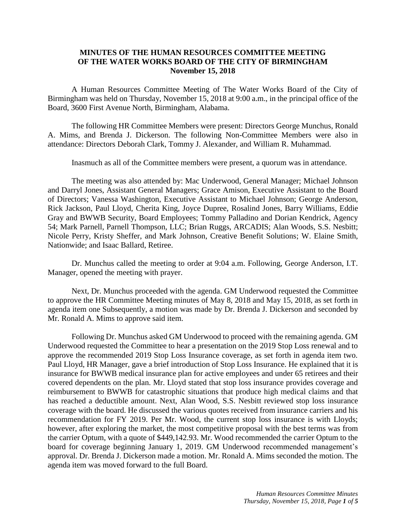## **MINUTES OF THE HUMAN RESOURCES COMMITTEE MEETING OF THE WATER WORKS BOARD OF THE CITY OF BIRMINGHAM November 15, 2018**

A Human Resources Committee Meeting of The Water Works Board of the City of Birmingham was held on Thursday, November 15, 2018 at 9:00 a.m., in the principal office of the Board, 3600 First Avenue North, Birmingham, Alabama.

The following HR Committee Members were present: Directors George Munchus, Ronald A. Mims, and Brenda J. Dickerson. The following Non-Committee Members were also in attendance: Directors Deborah Clark, Tommy J. Alexander, and William R. Muhammad.

Inasmuch as all of the Committee members were present, a quorum was in attendance.

The meeting was also attended by: Mac Underwood, General Manager; Michael Johnson and Darryl Jones, Assistant General Managers; Grace Amison, Executive Assistant to the Board of Directors; Vanessa Washington, Executive Assistant to Michael Johnson; George Anderson, Rick Jackson, Paul Lloyd, Cherita King, Joyce Dupree, Rosalind Jones, Barry Williams, Eddie Gray and BWWB Security, Board Employees; Tommy Palladino and Dorian Kendrick, Agency 54; Mark Parnell, Parnell Thompson, LLC; Brian Ruggs, ARCADIS; Alan Woods, S.S. Nesbitt; Nicole Perry, Kristy Sheffer, and Mark Johnson, Creative Benefit Solutions; W. Elaine Smith, Nationwide; and Isaac Ballard, Retiree.

Dr. Munchus called the meeting to order at 9:04 a.m. Following, George Anderson, I.T. Manager, opened the meeting with prayer.

Next, Dr. Munchus proceeded with the agenda. GM Underwood requested the Committee to approve the HR Committee Meeting minutes of May 8, 2018 and May 15, 2018, as set forth in agenda item one Subsequently, a motion was made by Dr. Brenda J. Dickerson and seconded by Mr. Ronald A. Mims to approve said item.

Following Dr. Munchus asked GM Underwood to proceed with the remaining agenda. GM Underwood requested the Committee to hear a presentation on the 2019 Stop Loss renewal and to approve the recommended 2019 Stop Loss Insurance coverage, as set forth in agenda item two. Paul Lloyd, HR Manager, gave a brief introduction of Stop Loss Insurance. He explained that it is insurance for BWWB medical insurance plan for active employees and under 65 retirees and their covered dependents on the plan. Mr. Lloyd stated that stop loss insurance provides coverage and reimbursement to BWWB for catastrophic situations that produce high medical claims and that has reached a deductible amount. Next, Alan Wood, S.S. Nesbitt reviewed stop loss insurance coverage with the board. He discussed the various quotes received from insurance carriers and his recommendation for FY 2019. Per Mr. Wood, the current stop loss insurance is with Lloyds; however, after exploring the market, the most competitive proposal with the best terms was from the carrier Optum, with a quote of \$449,142.93. Mr. Wood recommended the carrier Optum to the board for coverage beginning January 1, 2019. GM Underwood recommended management's approval. Dr. Brenda J. Dickerson made a motion. Mr. Ronald A. Mims seconded the motion. The agenda item was moved forward to the full Board.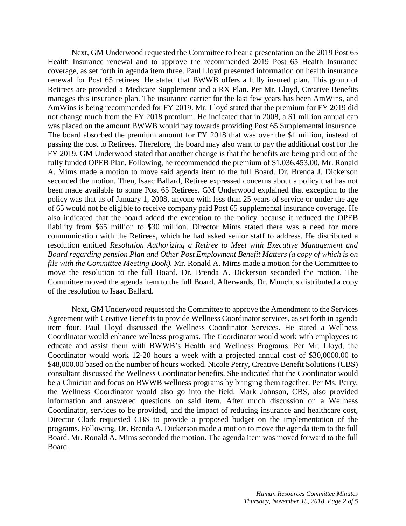Next, GM Underwood requested the Committee to hear a presentation on the 2019 Post 65 Health Insurance renewal and to approve the recommended 2019 Post 65 Health Insurance coverage, as set forth in agenda item three. Paul Lloyd presented information on health insurance renewal for Post 65 retirees. He stated that BWWB offers a fully insured plan. This group of Retirees are provided a Medicare Supplement and a RX Plan. Per Mr. Lloyd, Creative Benefits manages this insurance plan. The insurance carrier for the last few years has been AmWins, and AmWins is being recommended for FY 2019. Mr. Lloyd stated that the premium for FY 2019 did not change much from the FY 2018 premium. He indicated that in 2008, a \$1 million annual cap was placed on the amount BWWB would pay towards providing Post 65 Supplemental insurance. The board absorbed the premium amount for FY 2018 that was over the \$1 million, instead of passing the cost to Retirees. Therefore, the board may also want to pay the additional cost for the FY 2019. GM Underwood stated that another change is that the benefits are being paid out of the fully funded OPEB Plan. Following, he recommended the premium of \$1,036,453.00. Mr. Ronald A. Mims made a motion to move said agenda item to the full Board. Dr. Brenda J. Dickerson seconded the motion. Then, Isaac Ballard, Retiree expressed concerns about a policy that has not been made available to some Post 65 Retirees. GM Underwood explained that exception to the policy was that as of January 1, 2008, anyone with less than 25 years of service or under the age of 65 would not be eligible to receive company paid Post 65 supplemental insurance coverage. He also indicated that the board added the exception to the policy because it reduced the OPEB liability from \$65 million to \$30 million. Director Mims stated there was a need for more communication with the Retirees, which he had asked senior staff to address. He distributed a resolution entitled *Resolution Authorizing a Retiree to Meet with Executive Management and Board regarding pension Plan and Other Post Employment Benefit Matters (a copy of which is on file with the Committee Meeting Book).* Mr. Ronald A. Mims made a motion for the Committee to move the resolution to the full Board. Dr. Brenda A. Dickerson seconded the motion. The Committee moved the agenda item to the full Board. Afterwards, Dr. Munchus distributed a copy of the resolution to Isaac Ballard.

Next, GM Underwood requested the Committee to approve the Amendment to the Services Agreement with Creative Benefits to provide Wellness Coordinator services, as set forth in agenda item four. Paul Lloyd discussed the Wellness Coordinator Services. He stated a Wellness Coordinator would enhance wellness programs. The Coordinator would work with employees to educate and assist them with BWWB's Health and Wellness Programs. Per Mr. Lloyd, the Coordinator would work 12-20 hours a week with a projected annual cost of \$30,0000.00 to \$48,000.00 based on the number of hours worked. Nicole Perry, Creative Benefit Solutions (CBS) consultant discussed the Wellness Coordinator benefits. She indicated that the Coordinator would be a Clinician and focus on BWWB wellness programs by bringing them together. Per Ms. Perry, the Wellness Coordinator would also go into the field. Mark Johnson, CBS, also provided information and answered questions on said item. After much discussion on a Wellness Coordinator, services to be provided, and the impact of reducing insurance and healthcare cost, Director Clark requested CBS to provide a proposed budget on the implementation of the programs. Following, Dr. Brenda A. Dickerson made a motion to move the agenda item to the full Board. Mr. Ronald A. Mims seconded the motion. The agenda item was moved forward to the full Board.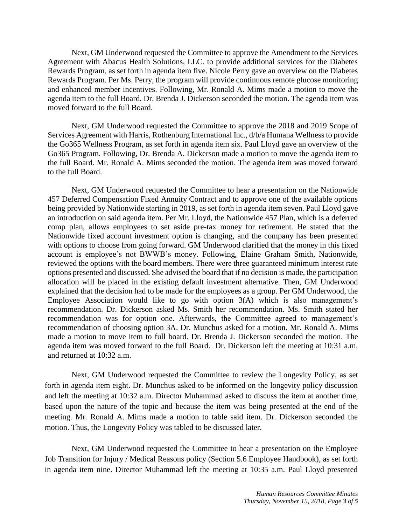Next, GM Underwood requested the Committee to approve the Amendment to the Services Agreement with Abacus Health Solutions, LLC. to provide additional services for the Diabetes Rewards Program, as set forth in agenda item five. Nicole Perry gave an overview on the Diabetes Rewards Program. Per Ms. Perry, the program will provide continuous remote glucose monitoring and enhanced member incentives. Following, Mr. Ronald A. Mims made a motion to move the agenda item to the full Board. Dr. Brenda J. Dickerson seconded the motion. The agenda item was moved forward to the full Board.

Next, GM Underwood requested the Committee to approve the 2018 and 2019 Scope of Services Agreement with Harris, Rothenburg International Inc., d/b/a Humana Wellness to provide the Go365 Wellness Program, as set forth in agenda item six. Paul Lloyd gave an overview of the Go365 Program. Following, Dr. Brenda A. Dickerson made a motion to move the agenda item to the full Board. Mr. Ronald A. Mims seconded the motion. The agenda item was moved forward to the full Board.

Next, GM Underwood requested the Committee to hear a presentation on the Nationwide 457 Deferred Compensation Fixed Annuity Contract and to approve one of the available options being provided by Nationwide starting in 2019, as set forth in agenda item seven. Paul Lloyd gave an introduction on said agenda item. Per Mr. Lloyd, the Nationwide 457 Plan, which is a deferred comp plan, allows employees to set aside pre-tax money for retirement. He stated that the Nationwide fixed account investment option is changing, and the company has been presented with options to choose from going forward. GM Underwood clarified that the money in this fixed account is employee's not BWWB's money. Following, Elaine Graham Smith, Nationwide, reviewed the options with the board members. There were three guaranteed minimum interest rate options presented and discussed. She advised the board that if no decision is made, the participation allocation will be placed in the existing default investment alternative. Then, GM Underwood explained that the decision had to be made for the employees as a group. Per GM Underwood, the Employee Association would like to go with option  $3(A)$  which is also management's recommendation. Dr. Dickerson asked Ms. Smith her recommendation. Ms. Smith stated her recommendation was for option one. Afterwards, the Committee agreed to management's recommendation of choosing option 3A. Dr. Munchus asked for a motion. Mr. Ronald A. Mims made a motion to move item to full board. Dr. Brenda J. Dickerson seconded the motion. The agenda item was moved forward to the full Board. Dr. Dickerson left the meeting at 10:31 a.m. and returned at 10:32 a.m.

Next, GM Underwood requested the Committee to review the Longevity Policy, as set forth in agenda item eight. Dr. Munchus asked to be informed on the longevity policy discussion and left the meeting at 10:32 a.m. Director Muhammad asked to discuss the item at another time, based upon the nature of the topic and because the item was being presented at the end of the meeting. Mr. Ronald A. Mims made a motion to table said item. Dr. Dickerson seconded the motion. Thus, the Longevity Policy was tabled to be discussed later.

Next, GM Underwood requested the Committee to hear a presentation on the Employee Job Transition for Injury / Medical Reasons policy (Section 5.6 Employee Handbook), as set forth in agenda item nine. Director Muhammad left the meeting at 10:35 a.m. Paul Lloyd presented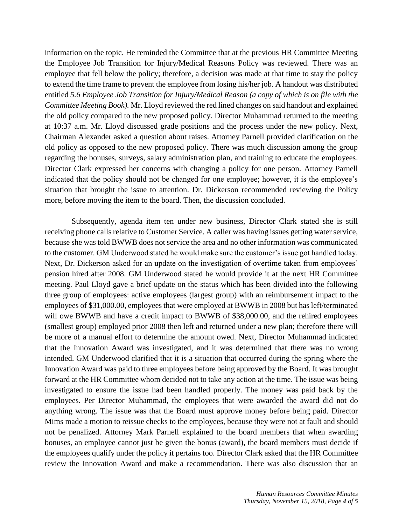information on the topic. He reminded the Committee that at the previous HR Committee Meeting the Employee Job Transition for Injury/Medical Reasons Policy was reviewed. There was an employee that fell below the policy; therefore, a decision was made at that time to stay the policy to extend the time frame to prevent the employee from losing his/her job. A handout was distributed entitled *5.6 Employee Job Transition for Injury/Medical Reason (a copy of which is on file with the Committee Meeting Book).* Mr. Lloyd reviewed the red lined changes on said handout and explained the old policy compared to the new proposed policy. Director Muhammad returned to the meeting at 10:37 a.m. Mr. Lloyd discussed grade positions and the process under the new policy. Next, Chairman Alexander asked a question about raises. Attorney Parnell provided clarification on the old policy as opposed to the new proposed policy. There was much discussion among the group regarding the bonuses, surveys, salary administration plan, and training to educate the employees. Director Clark expressed her concerns with changing a policy for one person. Attorney Parnell indicated that the policy should not be changed for one employee; however, it is the employee's situation that brought the issue to attention. Dr. Dickerson recommended reviewing the Policy more, before moving the item to the board. Then, the discussion concluded.

Subsequently, agenda item ten under new business, Director Clark stated she is still receiving phone calls relative to Customer Service. A caller was having issues getting water service, because she was told BWWB does not service the area and no other information was communicated to the customer. GM Underwood stated he would make sure the customer's issue got handled today. Next, Dr. Dickerson asked for an update on the investigation of overtime taken from employees' pension hired after 2008. GM Underwood stated he would provide it at the next HR Committee meeting. Paul Lloyd gave a brief update on the status which has been divided into the following three group of employees: active employees (largest group) with an reimbursement impact to the employees of \$31,000.00, employees that were employed at BWWB in 2008 but has left/terminated will owe BWWB and have a credit impact to BWWB of \$38,000.00, and the rehired employees (smallest group) employed prior 2008 then left and returned under a new plan; therefore there will be more of a manual effort to determine the amount owed. Next, Director Muhammad indicated that the Innovation Award was investigated, and it was determined that there was no wrong intended. GM Underwood clarified that it is a situation that occurred during the spring where the Innovation Award was paid to three employees before being approved by the Board. It was brought forward at the HR Committee whom decided not to take any action at the time. The issue was being investigated to ensure the issue had been handled properly. The money was paid back by the employees. Per Director Muhammad, the employees that were awarded the award did not do anything wrong. The issue was that the Board must approve money before being paid. Director Mims made a motion to reissue checks to the employees, because they were not at fault and should not be penalized. Attorney Mark Parnell explained to the board members that when awarding bonuses, an employee cannot just be given the bonus (award), the board members must decide if the employees qualify under the policy it pertains too. Director Clark asked that the HR Committee review the Innovation Award and make a recommendation. There was also discussion that an